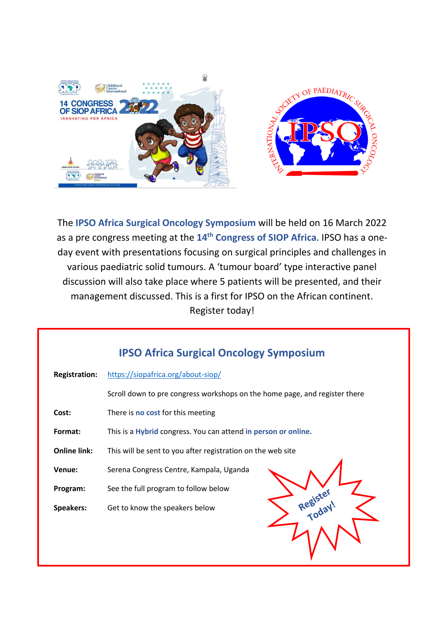

The **IPSO Africa Surgical Oncology Symposium** will be held on 16 March 2022 as a pre congress meeting at the **14th Congress of SIOP Africa**. IPSO has a oneday event with presentations focusing on surgical principles and challenges in various paediatric solid tumours. A 'tumour board' type interactive panel discussion will also take place where 5 patients will be presented, and their management discussed. This is a first for IPSO on the African continent. Register today!

| <b>IPSO Africa Surgical Oncology Symposium</b> |                                                                            |  |  |  |  |
|------------------------------------------------|----------------------------------------------------------------------------|--|--|--|--|
| <b>Registration:</b>                           | https://siopafrica.org/about-siop/                                         |  |  |  |  |
|                                                | Scroll down to pre congress workshops on the home page, and register there |  |  |  |  |
| Cost:                                          | There is <b>no cost</b> for this meeting                                   |  |  |  |  |
| Format:                                        | This is a Hybrid congress. You can attend in person or online.             |  |  |  |  |
| <b>Online link:</b>                            | This will be sent to you after registration on the web site                |  |  |  |  |
| Venue:                                         | Serena Congress Centre, Kampala, Uganda                                    |  |  |  |  |
| Program:                                       | See the full program to follow below                                       |  |  |  |  |
| Speakers:                                      | Get to know the speakers below                                             |  |  |  |  |
|                                                |                                                                            |  |  |  |  |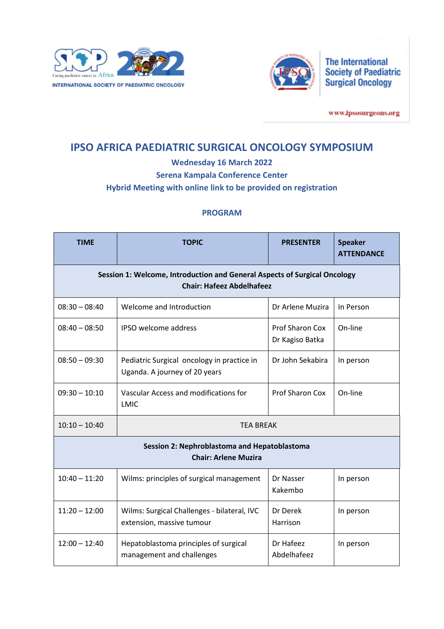



www.ipsosurgeons.org

# **IPSO AFRICA PAEDIATRIC SURGICAL ONCOLOGY SYMPOSIUM**

**Wednesday 16 March 2022**

**Serena Kampala Conference Center**

**Hybrid Meeting with online link to be provided on registration**

## **PROGRAM**

| <b>TIME</b>                                                                                                   | <b>TOPIC</b>                                                                | <b>PRESENTER</b>                          | <b>Speaker</b><br><b>ATTENDANCE</b> |  |  |  |  |
|---------------------------------------------------------------------------------------------------------------|-----------------------------------------------------------------------------|-------------------------------------------|-------------------------------------|--|--|--|--|
| Session 1: Welcome, Introduction and General Aspects of Surgical Oncology<br><b>Chair: Hafeez Abdelhafeez</b> |                                                                             |                                           |                                     |  |  |  |  |
| $08:30 - 08:40$                                                                                               | Welcome and Introduction                                                    | Dr Arlene Muzira                          | In Person                           |  |  |  |  |
| $08:40 - 08:50$                                                                                               | <b>IPSO</b> welcome address                                                 | <b>Prof Sharon Cox</b><br>Dr Kagiso Batka | On-line                             |  |  |  |  |
| $08:50 - 09:30$                                                                                               | Pediatric Surgical oncology in practice in<br>Uganda. A journey of 20 years | Dr John Sekabira                          | In person                           |  |  |  |  |
| $09:30 - 10:10$                                                                                               | Vascular Access and modifications for<br>LMIC                               | <b>Prof Sharon Cox</b>                    | On-line                             |  |  |  |  |
| $10:10 - 10:40$                                                                                               | <b>TEA BREAK</b>                                                            |                                           |                                     |  |  |  |  |
| Session 2: Nephroblastoma and Hepatoblastoma<br><b>Chair: Arlene Muzira</b>                                   |                                                                             |                                           |                                     |  |  |  |  |
| $10:40 - 11:20$                                                                                               | Wilms: principles of surgical management                                    | Dr Nasser<br>Kakembo                      | In person                           |  |  |  |  |
| $11:20 - 12:00$                                                                                               | Wilms: Surgical Challenges - bilateral, IVC<br>extension, massive tumour    | Dr Derek<br>Harrison                      | In person                           |  |  |  |  |
| $12:00 - 12:40$                                                                                               | Hepatoblastoma principles of surgical<br>management and challenges          | Dr Hafeez<br>Abdelhafeez                  | In person                           |  |  |  |  |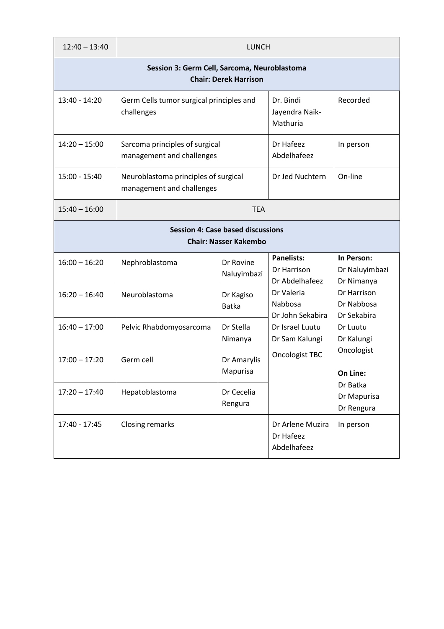| $12:40 - 13:40$                                                              | <b>LUNCH</b>                                                      |                           |                                                                                                                                                        |                                                                 |  |  |  |  |
|------------------------------------------------------------------------------|-------------------------------------------------------------------|---------------------------|--------------------------------------------------------------------------------------------------------------------------------------------------------|-----------------------------------------------------------------|--|--|--|--|
| Session 3: Germ Cell, Sarcoma, Neuroblastoma<br><b>Chair: Derek Harrison</b> |                                                                   |                           |                                                                                                                                                        |                                                                 |  |  |  |  |
| 13:40 - 14:20                                                                | Germ Cells tumor surgical principles and<br>challenges            |                           | Dr. Bindi<br>Jayendra Naik-<br>Mathuria                                                                                                                | Recorded                                                        |  |  |  |  |
| $14:20 - 15:00$                                                              | Sarcoma principles of surgical<br>management and challenges       |                           | Dr Hafeez<br>Abdelhafeez                                                                                                                               | In person                                                       |  |  |  |  |
| 15:00 - 15:40                                                                | Neuroblastoma principles of surgical<br>management and challenges |                           | Dr Jed Nuchtern                                                                                                                                        | On-line                                                         |  |  |  |  |
| $15:40 - 16:00$                                                              | <b>TEA</b>                                                        |                           |                                                                                                                                                        |                                                                 |  |  |  |  |
| <b>Session 4: Case based discussions</b><br><b>Chair: Nasser Kakembo</b>     |                                                                   |                           |                                                                                                                                                        |                                                                 |  |  |  |  |
| $16:00 - 16:20$                                                              | Nephroblastoma                                                    | Dr Rovine<br>Naluyimbazi  | <b>Panelists:</b><br>Dr Harrison<br>Dr Abdelhafeez<br>Dr Valeria<br>Nabbosa<br>Dr John Sekabira<br>Dr Israel Luutu<br>Dr Sam Kalungi<br>Oncologist TBC | In Person:<br>Dr Naluyimbazi<br>Dr Nimanya                      |  |  |  |  |
| $16:20 - 16:40$                                                              | Neuroblastoma                                                     | Dr Kagiso<br><b>Batka</b> |                                                                                                                                                        | Dr Harrison<br>Dr Nabbosa<br>Dr Sekabira                        |  |  |  |  |
| $16:40 - 17:00$                                                              | Pelvic Rhabdomyosarcoma                                           | Dr Stella<br>Nimanya      |                                                                                                                                                        | Dr Luutu<br>Dr Kalungi                                          |  |  |  |  |
| $17:00 - 17:20$                                                              | Germ cell                                                         | Dr Amarylis<br>Mapurisa   |                                                                                                                                                        | Oncologist<br>On Line:<br>Dr Batka<br>Dr Mapurisa<br>Dr Rengura |  |  |  |  |
| $17:20 - 17:40$                                                              | Hepatoblastoma                                                    | Dr Cecelia<br>Rengura     |                                                                                                                                                        |                                                                 |  |  |  |  |
| 17:40 - 17:45                                                                | <b>Closing remarks</b>                                            |                           | Dr Arlene Muzira<br>Dr Hafeez<br>Abdelhafeez                                                                                                           | In person                                                       |  |  |  |  |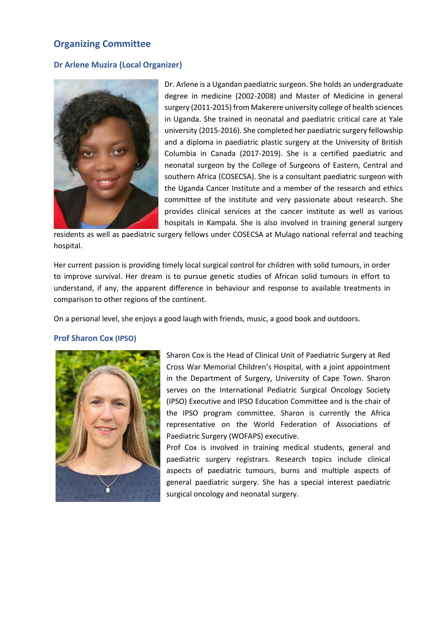# **Organizing Committee**

### **Dr Arlene Muzira (Local Organizer)**



Dr. Arlene is a Ugandan paediatric surgeon. She holds an undergraduate degree in medicine (2002-2008) and Master of Medicine in general surgery (2011-2015) from Makerere university college of health sciences in Uganda. She trained in neonatal and paediatric critical care at Yale university (2015-2016). She completed her paediatric surgery fellowship and a diploma in paediatric plastic surgery at the University of British Columbia in Canada (2017-2019). She is a certified paediatric and neonatal surgeon by the College of Surgeons of Eastern, Central and southern Africa (COSECSA). She is a consultant paediatric surgeon with the Uganda Cancer Institute and a member of the research and ethics committee of the institute and very passionate about research. She provides clinical services at the cancer institute as well as various hospitals in Kampala. She is also involved in training general surgery

residents as well as paediatric surgery fellows under COSECSA at Mulago national referral and teaching hospital.

Her current passion is providing timely local surgical control for children with solid tumours, in order to improve survival. Her dream is to pursue genetic studies of African solid tumours in effort to understand, if any, the apparent difference in behaviour and response to available treatments in comparison to other regions of the continent.

On a personal level, she enjoys a good laugh with friends, music, a good book and outdoors.

#### **Prof Sharon Cox (IPSO)**



Sharon Cox is the Head of Clinical Unit of Paediatric Surgery at Red Cross War Memorial Children's Hospital, with a joint appointment in the Department of Surgery, University of Cape Town. Sharon serves on the International Pediatric Surgical Oncology Society (IPSO) Executive and IPSO Education Committee and is the chair of the IPSO program committee. Sharon is currently the Africa representative on the World Federation of Associations of Paediatric Surgery (WOFAPS) executive.

Prof Cox is involved in training medical students, general and paediatric surgery registrars. Research topics include clinical aspects of paediatric tumours, burns and multiple aspects of general paediatric surgery. She has a special interest paediatric surgical oncology and neonatal surgery.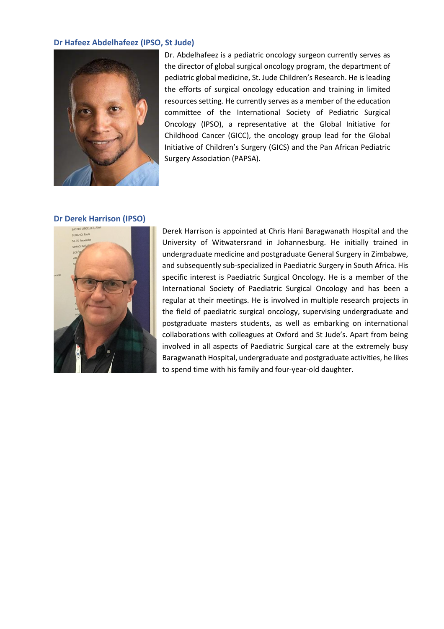#### **Dr Hafeez Abdelhafeez (IPSO, St Jude)**



Dr. Abdelhafeez is a pediatric oncology surgeon currently serves as the director of global surgical oncology program, the department of pediatric global medicine, St. Jude Children's Research. He is leading the efforts of surgical oncology education and training in limited resources setting. He currently serves as a member of the education committee of the International Society of Pediatric Surgical Oncology (IPSO), a representative at the Global Initiative for Childhood Cancer (GICC), the oncology group lead for the Global Initiative of Children's Surgery (GICS) and the Pan African Pediatric Surgery Association (PAPSA).

#### **Dr Derek Harrison (IPSO)**



Derek Harrison is appointed at Chris Hani Baragwanath Hospital and the University of Witwatersrand in Johannesburg. He initially trained in undergraduate medicine and postgraduate General Surgery in Zimbabwe, and subsequently sub-specialized in Paediatric Surgery in South Africa. His specific interest is Paediatric Surgical Oncology. He is a member of the International Society of Paediatric Surgical Oncology and has been a regular at their meetings. He is involved in multiple research projects in the field of paediatric surgical oncology, supervising undergraduate and postgraduate masters students, as well as embarking on international collaborations with colleagues at Oxford and St Jude's. Apart from being involved in all aspects of Paediatric Surgical care at the extremely busy Baragwanath Hospital, undergraduate and postgraduate activities, he likes to spend time with his family and four-year-old daughter.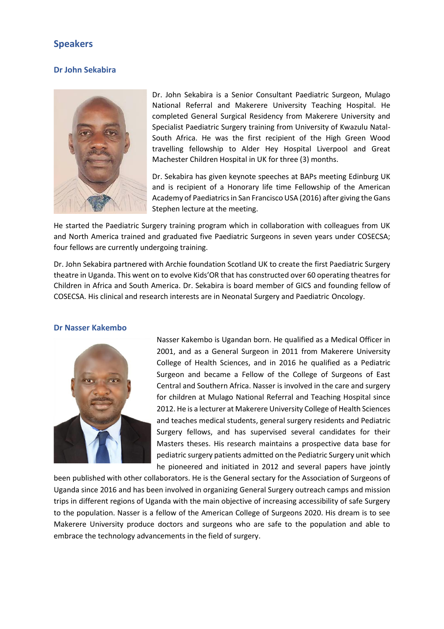# **Speakers**

### **Dr John Sekabira**



Dr. John Sekabira is a Senior Consultant Paediatric Surgeon, Mulago National Referral and Makerere University Teaching Hospital. He completed General Surgical Residency from Makerere University and Specialist Paediatric Surgery training from University of Kwazulu Natal-South Africa. He was the first recipient of the High Green Wood travelling fellowship to Alder Hey Hospital Liverpool and Great Machester Children Hospital in UK for three (3) months.

Dr. Sekabira has given keynote speeches at BAPs meeting Edinburg UK and is recipient of a Honorary life time Fellowship of the American Academy of Paediatrics in San Francisco USA (2016) after giving the Gans Stephen lecture at the meeting.

He started the Paediatric Surgery training program which in collaboration with colleagues from UK and North America trained and graduated five Paediatric Surgeons in seven years under COSECSA; four fellows are currently undergoing training.

Dr. John Sekabira partnered with Archie foundation Scotland UK to create the first Paediatric Surgery theatre in Uganda. This went on to evolve Kids'OR that has constructed over 60 operating theatres for Children in Africa and South America. Dr. Sekabira is board member of GICS and founding fellow of COSECSA. His clinical and research interests are in Neonatal Surgery and Paediatric Oncology.

#### **Dr Nasser Kakembo**



Nasser Kakembo is Ugandan born. He qualified as a Medical Officer in 2001, and as a General Surgeon in 2011 from Makerere University College of Health Sciences, and in 2016 he qualified as a Pediatric Surgeon and became a Fellow of the College of Surgeons of East Central and Southern Africa. Nasser is involved in the care and surgery for children at Mulago National Referral and Teaching Hospital since 2012. He is a lecturer at Makerere University College of Health Sciences and teaches medical students, general surgery residents and Pediatric Surgery fellows, and has supervised several candidates for their Masters theses. His research maintains a prospective data base for pediatric surgery patients admitted on the Pediatric Surgery unit which he pioneered and initiated in 2012 and several papers have jointly

been published with other collaborators. He is the General sectary for the Association of Surgeons of Uganda since 2016 and has been involved in organizing General Surgery outreach camps and mission trips in different regions of Uganda with the main objective of increasing accessibility of safe Surgery to the population. Nasser is a fellow of the American College of Surgeons 2020. His dream is to see Makerere University produce doctors and surgeons who are safe to the population and able to embrace the technology advancements in the field of surgery.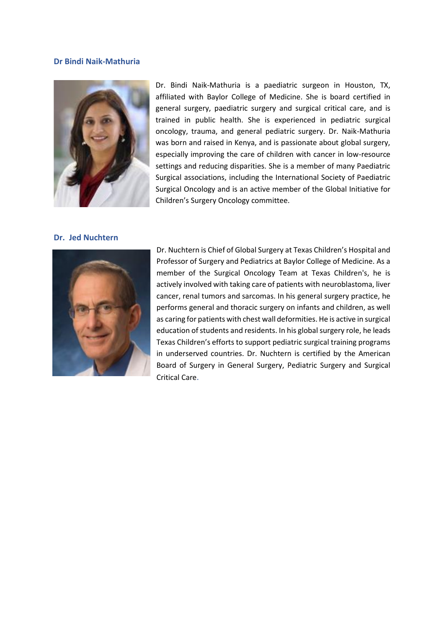#### **Dr Bindi Naik-Mathuria**



Dr. Bindi Naik-Mathuria is a paediatric surgeon in Houston, TX, affiliated with Baylor College of Medicine. She is board certified in general surgery, paediatric surgery and surgical critical care, and is trained in public health. She is experienced in pediatric surgical oncology, trauma, and general pediatric surgery. Dr. Naik-Mathuria was born and raised in Kenya, and is passionate about global surgery, especially improving the care of children with cancer in low-resource settings and reducing disparities. She is a member of many Paediatric Surgical associations, including the International Society of Paediatric Surgical Oncology and is an active member of the Global Initiative for Children's Surgery Oncology committee.

#### **Dr. Jed Nuchtern**



Dr. Nuchtern is Chief of Global Surgery at Texas Children's Hospital and Professor of Surgery and Pediatrics at Baylor College of Medicine. As a member of the Surgical Oncology Team at Texas Children's, he is actively involved with taking care of patients with neuroblastoma, liver cancer, renal tumors and sarcomas. In his general surgery practice, he performs general and thoracic surgery on infants and children, as well as caring for patients with chest wall deformities. He is active in surgical education of students and residents. In his global surgery role, he leads Texas Children's efforts to support pediatric surgical training programs in underserved countries. Dr. Nuchtern is certified by the American Board of Surgery in General Surgery, Pediatric Surgery and Surgical Critical Care.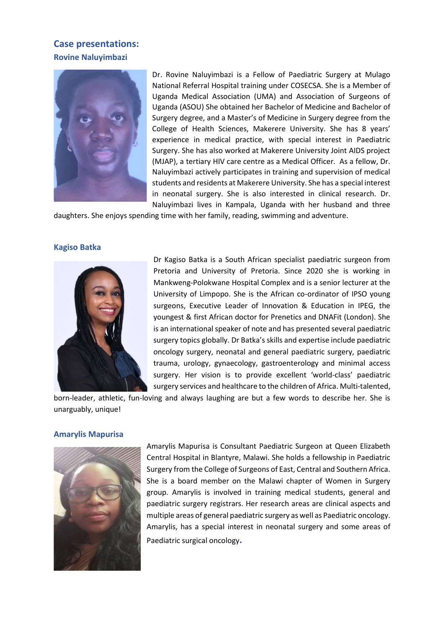# **Case presentations: Rovine Naluyimbazi**



Dr. Rovine Naluyimbazi is a Fellow of Paediatric Surgery at Mulago National Referral Hospital training under COSECSA. She is a Member of Uganda Medical Association (UMA) and Association of Surgeons of Uganda (ASOU) She obtained her Bachelor of Medicine and Bachelor of Surgery degree, and a Master's of Medicine in Surgery degree from the College of Health Sciences, Makerere University. She has 8 years' experience in medical practice, with special interest in Paediatric Surgery. She has also worked at Makerere University Joint AIDS project (MJAP), a tertiary HIV care centre as a Medical Officer. As a fellow, Dr. Naluyimbazi actively participates in training and supervision of medical students and residents at Makerere University. She has a special interest in neonatal surgery. She is also interested in clinical research. Dr. Naluyimbazi lives in Kampala, Uganda with her husband and three

daughters. She enjoys spending time with her family, reading, swimming and adventure.

#### **Kagiso Batka**



Dr Kagiso Batka is a South African specialist paediatric surgeon from Pretoria and University of Pretoria. Since 2020 she is working in Mankweng-Polokwane Hospital Complex and is a senior lecturer at the University of Limpopo. She is the African co-ordinator of IPSO young surgeons, Executive Leader of Innovation & Education in IPEG, the youngest & first African doctor for Prenetics and DNAFit (London). She is an international speaker of note and has presented several paediatric surgery topics globally. Dr Batka's skills and expertise include paediatric oncology surgery, neonatal and general paediatric surgery, paediatric trauma, urology, gynaecology, gastroenterology and minimal access surgery. Her vision is to provide excellent 'world-class' paediatric surgery services and healthcare to the children of Africa. Multi-talented,

born-leader, athletic, fun-loving and always laughing are but a few words to describe her. She is unarguably, unique!

#### **Amarylis Mapurisa**



Amarylis Mapurisa is Consultant Paediatric Surgeon at Queen Elizabeth Central Hospital in Blantyre, Malawi. She holds a fellowship in Paediatric Surgery from the College of Surgeons of East, Central and Southern Africa. She is a board member on the Malawi chapter of Women in Surgery group. Amarylis is involved in training medical students, general and paediatric surgery registrars. Her research areas are clinical aspects and multiple areas of general paediatric surgery as well as Paediatric oncology. Amarylis, has a special interest in neonatal surgery and some areas of Paediatric surgical oncology**.**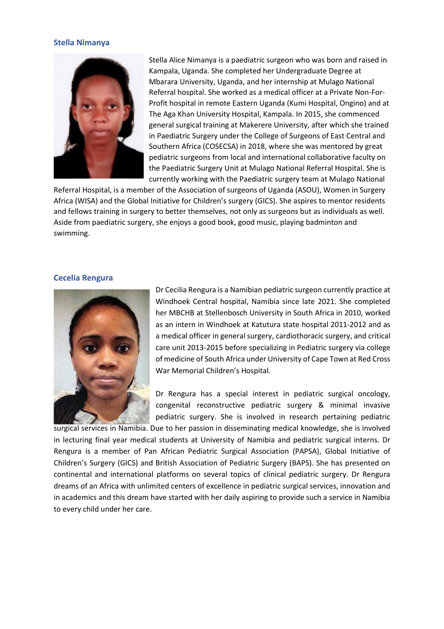#### **Stella Nimanya**



Stella Alice Nimanya is a paediatric surgeon who was born and raised in Kampala, Uganda. She completed her Undergraduate Degree at Mbarara University, Uganda, and her internship at Mulago National Referral hospital. She worked as a medical officer at a Private Non-For-Profit hospital in remote Eastern Uganda (Kumi Hospital, Ongino) and at The Aga Khan University Hospital, Kampala. In 2015, she commenced general surgical training at Makerere University, after which she trained in Paediatric Surgery under the College of Surgeons of East Central and Southern Africa (COSECSA) in 2018, where she was mentored by great pediatric surgeons from local and international collaborative faculty on the Paediatric Surgery Unit at Mulago National Referral Hospital. She is currently working with the Paediatric surgery team at Mulago National

Referral Hospital, is a member of the Association of surgeons of Uganda (ASOU), Women in Surgery Africa (WISA) and the Global Initiative for Children's surgery (GICS). She aspires to mentor residents and fellows training in surgery to better themselves, not only as surgeons but as individuals as well. Aside from paediatric surgery, she enjoys a good book, good music, playing badminton and swimming.

#### **Cecelia Rengura**



Dr Cecilia Rengura is a Namibian pediatric surgeon currently practice at Windhoek Central hospital, Namibia since late 2021. She completed her MBCHB at Stellenbosch University in South Africa in 2010, worked as an intern in Windhoek at Katutura state hospital 2011-2012 and as a medical officer in general surgery, cardiothoracic surgery, and critical care unit 2013-2015 before specializing in Pediatric surgery via college of medicine of South Africa under University of Cape Town at Red Cross War Memorial Children's Hospital.

Dr Rengura has a special interest in pediatric surgical oncology, congenital reconstructive pediatric surgery & minimal invasive pediatric surgery. She is involved in research pertaining pediatric

surgical services in Namibia. Due to her passion in disseminating medical knowledge, she is involved in lecturing final year medical students at University of Namibia and pediatric surgical interns. Dr Rengura is a member of Pan African Pediatric Surgical Association (PAPSA), Global Initiative of Children's Surgery (GICS) and British Association of Pediatric Surgery (BAPS). She has presented on continental and international platforms on several topics of clinical pediatric surgery. Dr Rengura dreams of an Africa with unlimited centers of excellence in pediatric surgical services, innovation and in academics and this dream have started with her daily aspiring to provide such a service in Namibia to every child under her care.